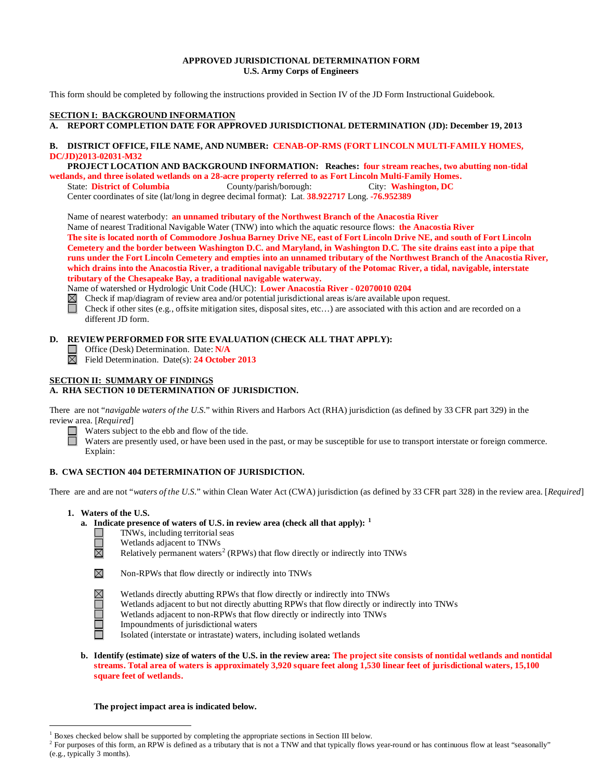## **APPROVED JURISDICTIONAL DETERMINATION FORM U.S. Army Corps of Engineers**

This form should be completed by following the instructions provided in Section IV of the JD Form Instructional Guidebook.

# **SECTION I: BACKGROUND INFORMATION**

**A. REPORT COMPLETION DATE FOR APPROVED JURISDICTIONAL DETERMINATION (JD): December 19, 2013** 

### **B. DISTRICT OFFICE, FILE NAME, AND NUMBER: CENAB-OP-RMS (FORT LINCOLN MULTI-FAMILY HOMES, DC/JD)2013-02031-M32**

 **PROJECT LOCATION AND BACKGROUND INFORMATION: Reaches: four stream reaches, two abutting non-tidal wetlands, and three isolated wetlands on a 28-acre property referred to as Fort Lincoln Multi-Family Homes.**

State: **District of Columbia** County/parish/borough: City: **Washington, DC**

Center coordinates of site (lat/long in degree decimal format): Lat. **38.922717** Long. **-76.952389**

Name of nearest waterbody: **an unnamed tributary of the Northwest Branch of the Anacostia River**

Name of nearest Traditional Navigable Water (TNW) into which the aquatic resource flows: **the Anacostia River The site is located north of Commodore Joshua Barney Drive NE, east of Fort Lincoln Drive NE, and south of Fort Lincoln Cemetery and the border between Washington D.C. and Maryland, in Washington D.C. The site drains east into a pipe that runs under the Fort Lincoln Cemetery and empties into an unnamed tributary of the Northwest Branch of the Anacostia River, which drains into the Anacostia River, a traditional navigable tributary of the Potomac River, a tidal, navigable, interstate tributary of the Chesapeake Bay, a traditional navigable waterway.**

Name of watershed or Hydrologic Unit Code (HUC): **Lower Anacostia River - 02070010 0204**

Check if map/diagram of review area and/or potential jurisdictional areas is/are available upon request.  $\Box$ Check if other sites (e.g., offsite mitigation sites, disposal sites, etc…) are associated with this action and are recorded on a different JD form.

## **D. REVIEW PERFORMED FOR SITE EVALUATION (CHECK ALL THAT APPLY):**

Office (Desk) Determination. Date: **N/A** Ш

Field Determination. Date(s): **24 October 2013**

# **SECTION II: SUMMARY OF FINDINGS**

# **A. RHA SECTION 10 DETERMINATION OF JURISDICTION.**

There are not "*navigable waters of the U.S.*" within Rivers and Harbors Act (RHA) jurisdiction (as defined by 33 CFR part 329) in the review area. [*Required*]

Waters subject to the ebb and flow of the tide.

Waters are presently used, or have been used in the past, or may be susceptible for use to transport interstate or foreign commerce. Explain:

# **B. CWA SECTION 404 DETERMINATION OF JURISDICTION.**

There are and are not "*waters of the U.S.*" within Clean Water Act (CWA) jurisdiction (as defined by 33 CFR part 328) in the review area. [*Required*]

**1. Waters of the U.S.**

 $\mathcal{L}_{\mathcal{A}}$  $\Box$ 岗

ñ

### **a. Indicate presence of waters of U.S. in review area (check all that apply): [1](#page-0-0)**

- TNWs, including territorial seas
- Wetlands adjacent to TNWs

Relatively permanent waters<sup>[2](#page-0-1)</sup> (RPWs) that flow directly or indirectly into TNWs



- Wetlands directly abutting RPWs that flow directly or indirectly into TNWs
- Wetlands adjacent to but not directly abutting RPWs that flow directly or indirectly into TNWs
- Wetlands adjacent to non-RPWs that flow directly or indirectly into TNWs
- Impoundments of jurisdictional waters
- Isolated (interstate or intrastate) waters, including isolated wetlands
- **b. Identify (estimate) size of waters of the U.S. in the review area: The project site consists of nontidal wetlands and nontidal streams. Total area of waters is approximately 3,920 square feet along 1,530 linear feet of jurisdictional waters, 15,100 square feet of wetlands.**

### **The project impact area is indicated below.**

 <sup>1</sup> Boxes checked below shall be supported by completing the appropriate sections in Section III below.

<span id="page-0-1"></span><span id="page-0-0"></span> $2^2$  For purposes of this form, an RPW is defined as a tributary that is not a TNW and that typically flows year-round or has continuous flow at least "seasonally" (e.g., typically 3 months).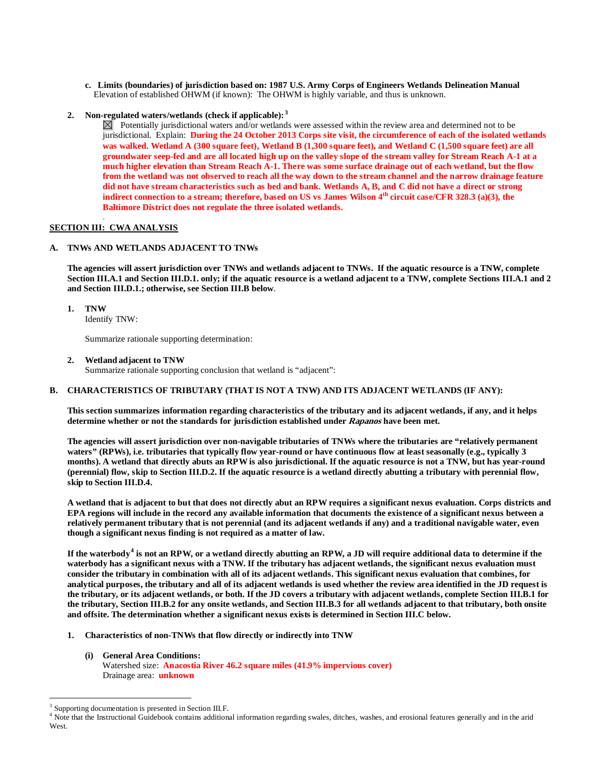- **c. Limits (boundaries) of jurisdiction based on: 1987 U.S. Army Corps of Engineers Wetlands Delineation Manual** Elevation of established OHWM (if known): The OHWM is highly variable, and thus is unknown.
- **2. Non-regulated waters/wetlands (check if applicable): [3](#page-1-0)**

 $\boxtimes$  Potentially jurisdictional waters and/or wetlands were assessed within the review area and determined not to be jurisdictional. Explain: **During the 24 October 2013 Corps site visit, the circumference of each of the isolated wetlands was walked. Wetland A (300 square feet), Wetland B (1,300 square feet), and Wetland C (1,500 square feet) are all groundwater seep-fed and are all located high up on the valley slope of the stream valley for Stream Reach A-1 at a much higher elevation than Stream Reach A-1. There was some surface drainage out of each wetland, but the flow from the wetland was not observed to reach all the way down to the stream channel and the narrow drainage feature did not have stream characteristics such as bed and bank. Wetlands A, B, and C did not have a direct or strong indirect connection to a stream; therefore, based on US vs James Wilson 4th circuit case/CFR 328.3 (a)(3), the Baltimore District does not regulate the three isolated wetlands.** 

#### . **SECTION III: CWA ANALYSIS**

# **A. TNWs AND WETLANDS ADJACENT TO TNWs**

**The agencies will assert jurisdiction over TNWs and wetlands adjacent to TNWs. If the aquatic resource is a TNW, complete Section III.A.1 and Section III.D.1. only; if the aquatic resource is a wetland adjacent to a TNW, complete Sections III.A.1 and 2 and Section III.D.1.; otherwise, see Section III.B below**.

**1. TNW** 

Identify TNW:

Summarize rationale supporting determination:

**2. Wetland adjacent to TNW** 

Summarize rationale supporting conclusion that wetland is "adjacent":

### **B. CHARACTERISTICS OF TRIBUTARY (THAT IS NOT A TNW) AND ITS ADJACENT WETLANDS (IF ANY):**

**This section summarizes information regarding characteristics of the tributary and its adjacent wetlands, if any, and it helps determine whether or not the standards for jurisdiction established under Rapanos have been met.** 

**The agencies will assert jurisdiction over non-navigable tributaries of TNWs where the tributaries are "relatively permanent waters" (RPWs), i.e. tributaries that typically flow year-round or have continuous flow at least seasonally (e.g., typically 3 months). A wetland that directly abuts an RPW is also jurisdictional. If the aquatic resource is not a TNW, but has year-round (perennial) flow, skip to Section III.D.2. If the aquatic resource is a wetland directly abutting a tributary with perennial flow, skip to Section III.D.4.**

**A wetland that is adjacent to but that does not directly abut an RPW requires a significant nexus evaluation. Corps districts and EPA regions will include in the record any available information that documents the existence of a significant nexus between a relatively permanent tributary that is not perennial (and its adjacent wetlands if any) and a traditional navigable water, even though a significant nexus finding is not required as a matter of law.**

**If the waterbody[4](#page-1-1) is not an RPW, or a wetland directly abutting an RPW, a JD will require additional data to determine if the waterbody has a significant nexus with a TNW. If the tributary has adjacent wetlands, the significant nexus evaluation must consider the tributary in combination with all of its adjacent wetlands. This significant nexus evaluation that combines, for analytical purposes, the tributary and all of its adjacent wetlands is used whether the review area identified in the JD request is the tributary, or its adjacent wetlands, or both. If the JD covers a tributary with adjacent wetlands, complete Section III.B.1 for the tributary, Section III.B.2 for any onsite wetlands, and Section III.B.3 for all wetlands adjacent to that tributary, both onsite and offsite. The determination whether a significant nexus exists is determined in Section III.C below.**

- **1. Characteristics of non-TNWs that flow directly or indirectly into TNW**
	- **(i) General Area Conditions:** Watershed size: **Anacostia River 46.2 square miles (41.9% impervious cover)** Drainage area: **unknown**

<span id="page-1-0"></span><sup>&</sup>lt;sup>3</sup> Supporting documentation is presented in Section III.F.

<span id="page-1-1"></span><sup>&</sup>lt;sup>4</sup> Note that the Instructional Guidebook contains additional information regarding swales, ditches, washes, and erosional features generally and in the arid West.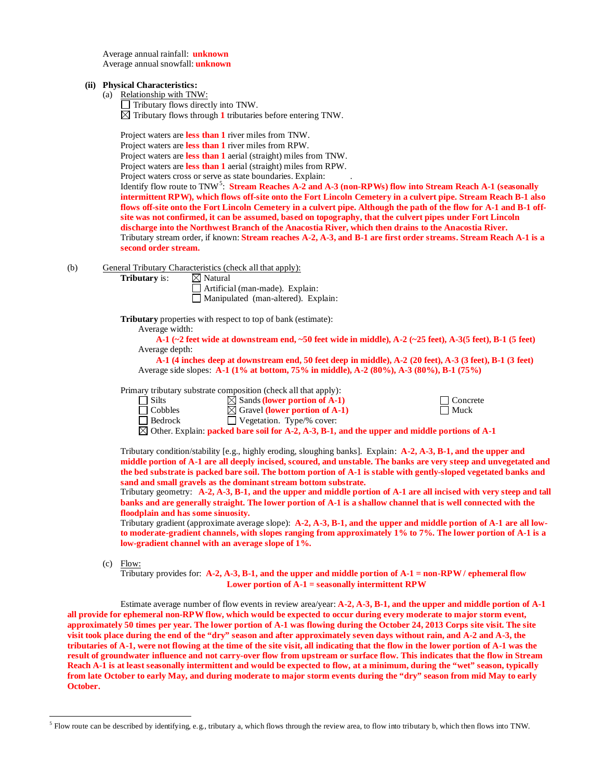Average annual rainfall: **unknown** Average annual snowfall: **unknown**

#### **(ii) Physical Characteristics:**

(a) Relationship with TNW:

 $\Box$  Tributary flows directly into TNW.

 $\boxtimes$  Tributary flows through 1 tributaries before entering TNW.

Project waters are **less than 1** river miles from TNW.

Project waters are **less than 1** river miles from RPW.

Project waters are **less than 1** aerial (straight) miles from TNW.

Project waters are **less than 1** aerial (straight) miles from RPW.

Project waters cross or serve as state boundaries. Explain:

Identify flow route to TNW<sup>[5](#page-2-0)</sup>: Stream Reaches A-2 and A-3 (non-RPWs) flow into Stream Reach A-1 (seasonally **intermittent RPW), which flows off-site onto the Fort Lincoln Cemetery in a culvert pipe. Stream Reach B-1 also flows off-site onto the Fort Lincoln Cemetery in a culvert pipe. Although the path of the flow for A-1 and B-1 offsite was not confirmed, it can be assumed, based on topography, that the culvert pipes under Fort Lincoln discharge into the Northwest Branch of the Anacostia River, which then drains to the Anacostia River.**  Tributary stream order, if known: **Stream reaches A-2, A-3, and B-1 are first order streams. Stream Reach A-1 is a second order stream.** 

(b) General Tributary Characteristics (check all that apply):

**Tributary** is:  $\boxtimes$  Natural

Artificial (man-made). Explain: Manipulated (man-altered). Explain:

**Tributary** properties with respect to top of bank (estimate):

Average width:

**A-1 (~2 feet wide at downstream end, ~50 feet wide in middle), A-2 (~25 feet), A-3(5 feet), B-1 (5 feet)** Average depth:

**A-1 (4 inches deep at downstream end, 50 feet deep in middle), A-2 (20 feet), A-3 (3 feet), B-1 (3 feet)** Average side slopes: **A-1 (1% at bottom, 75% in middle), A-2 (80%), A-3 (80%), B-1 (75%)**

Primary tributary substrate composition (check all that apply):<br>  $\Box$  Silts  $\boxtimes$  Sands (lower portion of A-1)

<table>\n<tbody>\n<tr>\n<td>3</td>\n<td>5</td>\n</tr>\n<tr>\n<td>3</td>\n<td>5</td>\n</tr>\n<tr>\n<td>5</td>\n<td>5</td>\n</tr>\n<tr>\n<td>6</td>\n<td>6</td>\n</tr>\n<tr>\n<td>7</td>\n<td>6</td>\n</tr>\n<tr>\n<td>8</td>\n<td>7</td>\n</tr>\n<tr>\n<td>9</td>\n<td>6</td>\n</tr>\n<tr>\n<td>10</td>\n<td>7</td>\n</tr>\n<tr>\n<td>11</td>\n<td>8</td>\n</tr>\n<tr>\n<td>2</td>\n<td>9</td>\n</tr>\n<tr>\n Cobbles  $\boxtimes$  Gravel **(lower portion of A-1)**<br>
Bedrock Uegetation. Type/% cover:  $\Box$  Vegetation. Type/% cover: Other. Explain: **packed bare soil for A-2, A-3, B-1, and the upper and middle portions of A-1**

Tributary condition/stability [e.g., highly eroding, sloughing banks]. Explain: **A-2, A-3, B-1, and the upper and middle portion of A-1 are all deeply incised, scoured, and unstable. The banks are very steep and unvegetated and the bed substrate is packed bare soil. The bottom portion of A-1 is stable with gently-sloped vegetated banks and sand and small gravels as the dominant stream bottom substrate.** 

Tributary geometry: **A-2, A-3, B-1, and the upper and middle portion of A-1 are all incised with very steep and tall banks and are generally straight. The lower portion of A-1 is a shallow channel that is well connected with the floodplain and has some sinuosity.** 

Tributary gradient (approximate average slope): **A-2, A-3, B-1, and the upper and middle portion of A-1 are all lowto moderate-gradient channels, with slopes ranging from approximately 1% to 7%. The lower portion of A-1 is a low-gradient channel with an average slope of 1%.** 

(c) Flow:

Tributary provides for: **A-2, A-3, B-1, and the upper and middle portion of A-1 = non-RPW / ephemeral flow Lower portion of A-1 = seasonally intermittent RPW**

Estimate average number of flow events in review area/year: **A-2, A-3, B-1, and the upper and middle portion of A-1 all provide for ephemeral non-RPW flow, which would be expected to occur during every moderate to major storm event, approximately 50 times per year. The lower portion of A-1 was flowing during the October 24, 2013 Corps site visit. The site visit took place during the end of the "dry" season and after approximately seven days without rain, and A-2 and A-3, the tributaries of A-1, were not flowing at the time of the site visit, all indicating that the flow in the lower portion of A-1 was the result of groundwater influence and not carry-over flow from upstream or surface flow. This indicates that the flow in Stream Reach A-1 is at least seasonally intermittent and would be expected to flow, at a minimum, during the "wet" season, typically from late October to early May, and during moderate to major storm events during the "dry" season from mid May to early October.**

<span id="page-2-0"></span> $<sup>5</sup>$  Flow route can be described by identifying, e.g., tributary a, which flows through the review area, to flow into tributary b, which then flows into TNW.</sup>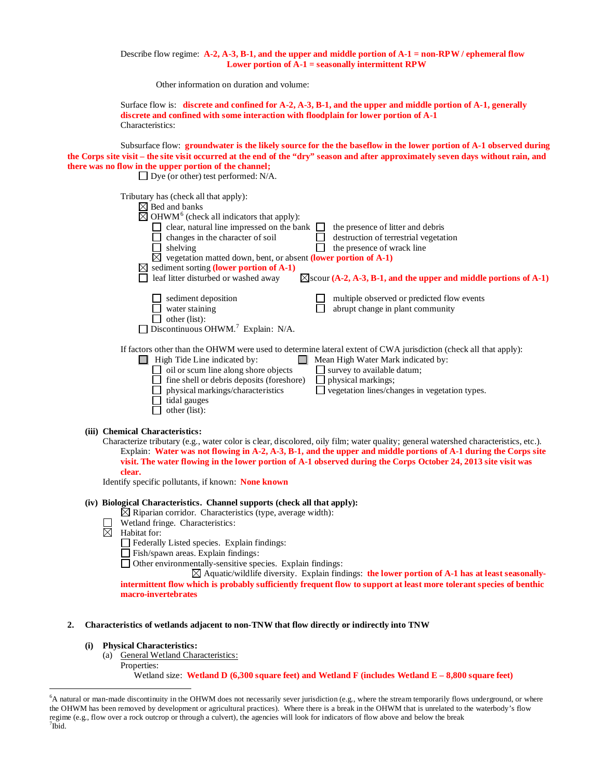### Describe flow regime: **A-2, A-3, B-1, and the upper and middle portion of A-1 = non-RPW / ephemeral flow Lower portion of A-1 = seasonally intermittent RPW**

Other information on duration and volume:

|                  | Surface flow is: discrete and confined for $A-2$ , $A-3$ , $B-1$ , and the upper and middle portion of $A-1$ , generally |
|------------------|--------------------------------------------------------------------------------------------------------------------------|
|                  | discrete and confined with some interaction with floodplain for lower portion of A-1                                     |
| Characteristics: |                                                                                                                          |

Subsurface flow: **groundwater is the likely source for the the baseflow in the lower portion of A-1 observed during the Corps site visit – the site visit occurred at the end of the "dry" season and after approximately seven days without rain, and there was no flow in the upper portion of the channel;** 

| Dye (or other) test performed: N/A.                                                                                                                                                                                                                                                                                                                                                                       |                                                                                                                                                                                                                                                             |
|-----------------------------------------------------------------------------------------------------------------------------------------------------------------------------------------------------------------------------------------------------------------------------------------------------------------------------------------------------------------------------------------------------------|-------------------------------------------------------------------------------------------------------------------------------------------------------------------------------------------------------------------------------------------------------------|
| Tributary has (check all that apply):<br>$\boxtimes$ Bed and banks<br>$\boxtimes$ OHWM <sup>6</sup> (check all indicators that apply):<br>clear, natural line impressed on the bank<br>changes in the character of soil<br>shelving<br>⊠<br>vegetation matted down, bent, or absent (lower portion of A-1)<br>$\boxtimes$ sediment sorting (lower portion of A-1)<br>leaf litter disturbed or washed away | the presence of litter and debris<br>destruction of terrestrial vegetation<br>the presence of wrack line<br>$\boxtimes$ scour (A-2, A-3, B-1, and the upper and middle portions of A-1)                                                                     |
| sediment deposition<br>water staining<br>other (list):<br>Discontinuous OHWM. <sup>7</sup> Explain: N/A.                                                                                                                                                                                                                                                                                                  | multiple observed or predicted flow events<br>abrupt change in plant community                                                                                                                                                                              |
| High Tide Line indicated by:<br>oil or scum line along shore objects<br>fine shell or debris deposits (foreshore)<br>physical markings/characteristics<br>tidal gauges<br>other (list):                                                                                                                                                                                                                   | If factors other than the OHWM were used to determine lateral extent of CWA jurisdiction (check all that apply):<br>Mean High Water Mark indicated by:<br>survey to available datum;<br>physical markings;<br>vegetation lines/changes in vegetation types. |

#### **(iii) Chemical Characteristics:**

| Characterize tributary (e.g., water color is clear, discolored, oily film; water quality; general watershed characteristics, etc.). |  |
|-------------------------------------------------------------------------------------------------------------------------------------|--|
| Explain: Water was not flowing in A-2, A-3, B-1, and the upper and middle portions of A-1 during the Corps site                     |  |
| visit. The water flowing in the lower portion of A-1 observed during the Corps October 24, 2013 site visit was                      |  |
| clear.                                                                                                                              |  |

Identify specific pollutants, if known: **None known**

# **(iv) Biological Characteristics. Channel supports (check all that apply):**

- $\boxtimes$  Riparian corridor. Characteristics (type, average width):
- Wetland fringe. Characteristics:
- $\overline{\boxtimes}$  Habitat for:
	- $\Box$  Federally Listed species. Explain findings:
	- Fish/spawn areas. Explain findings:
	- Other environmentally-sensitive species. Explain findings:

Aquatic/wildlife diversity. Explain findings: **the lower portion of A-1 has at least seasonallyintermittent flow which is probably sufficiently frequent flow to support at least more tolerant species of benthic macro-invertebrates**

### **2. Characteristics of wetlands adjacent to non-TNW that flow directly or indirectly into TNW**

# **(i) Physical Characteristics:**

- (a) General Wetland Characteristics:
	- Properties:

Wetland size: **Wetland D (6,300 square feet) and Wetland F (includes Wetland E – 8,800 square feet)**

<span id="page-3-1"></span><span id="page-3-0"></span> <sup>6</sup> <sup>6</sup>A natural or man-made discontinuity in the OHWM does not necessarily sever jurisdiction (e.g., where the stream temporarily flows underground, or where the OHWM has been removed by development or agricultural practices). Where there is a break in the OHWM that is unrelated to the waterbody's flow regime (e.g., flow over a rock outcrop or through a culvert), the agencies will look for indicators of flow above and below the break <sup>7</sup>  $7$ Ibid.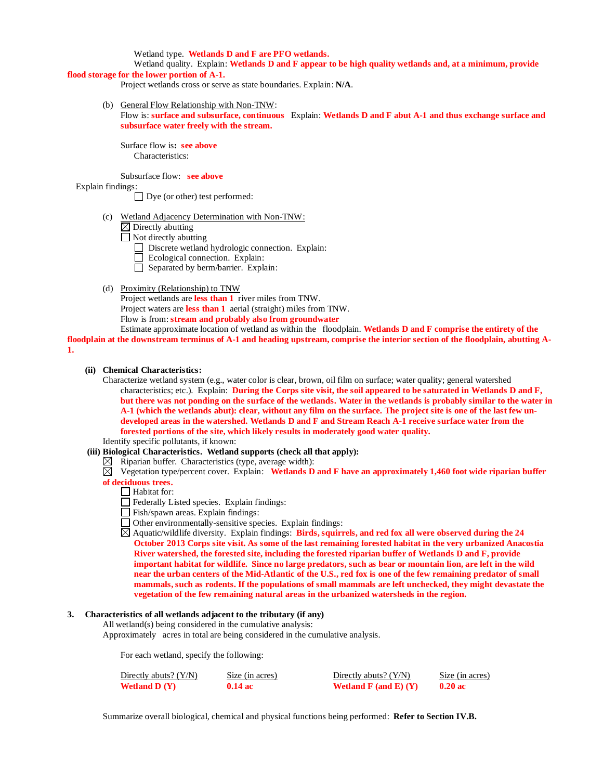Wetland type. **Wetlands D and F are PFO wetlands.**

Wetland quality. Explain: **Wetlands D and F appear to be high quality wetlands and, at a minimum, provide flood storage for the lower portion of A-1.**

Project wetlands cross or serve as state boundaries. Explain: **N/A**.

(b) General Flow Relationship with Non-TNW:

Flow is: **surface and subsurface, continuous** Explain: **Wetlands D and F abut A-1 and thus exchange surface and subsurface water freely with the stream.**

Surface flow is**: see above** Characteristics:

Subsurface flow: **see above**

Explain findings:

Dye (or other) test performed:

- (c) Wetland Adjacency Determination with Non-TNW:
	- $\boxtimes$  Directly abutting
	- $\Box$  Not directly abutting
		- Discrete wetland hydrologic connection. Explain:
		- Ecological connection. Explain:
		- $\Box$  Separated by berm/barrier. Explain:

(d) Proximity (Relationship) to TNW Project wetlands are **less than 1** river miles from TNW. Project waters are **less than 1** aerial (straight) miles from TNW. Flow is from: **stream and probably also from groundwater**

Estimate approximate location of wetland as within the floodplain. **Wetlands D and F comprise the entirety of the floodplain at the downstream terminus of A-1 and heading upstream, comprise the interior section of the floodplain, abutting A-1.**

### **(ii) Chemical Characteristics:**

Characterize wetland system (e.g., water color is clear, brown, oil film on surface; water quality; general watershed characteristics; etc.). Explain: **During the Corps site visit, the soil appeared to be saturated in Wetlands D and F, but there was not ponding on the surface of the wetlands. Water in the wetlands is probably similar to the water in A-1 (which the wetlands abut): clear, without any film on the surface. The project site is one of the last few undeveloped areas in the watershed. Wetlands D and F and Stream Reach A-1 receive surface water from the forested portions of the site, which likely results in moderately good water quality.**

- Identify specific pollutants, if known:
- **(iii) Biological Characteristics. Wetland supports (check all that apply):**
	- $\boxtimes$  Riparian buffer. Characteristics (type, average width):
	- $\overline{\boxtimes}$  Vegetation type/percent cover. Explain: Wetlands **D** and **F** have an approximately 1,460 foot wide riparian buffer **of deciduous trees.**
		- $\Box$  Habitat for:
		- Federally Listed species. Explain findings:
		- $\Box$  Fish/spawn areas. Explain findings:
		- $\Box$  Other environmentally-sensitive species. Explain findings:

Aquatic/wildlife diversity. Explain findings: **Birds, squirrels, and red fox all were observed during the 24 October 2013 Corps site visit. As some of the last remaining forested habitat in the very urbanized Anacostia River watershed, the forested site, including the forested riparian buffer of Wetlands D and F, provide important habitat for wildlife. Since no large predators, such as bear or mountain lion, are left in the wild near the urban centers of the Mid-Atlantic of the U.S., red fox is one of the few remaining predator of small mammals, such as rodents. If the populations of small mammals are left unchecked, they might devastate the vegetation of the few remaining natural areas in the urbanized watersheds in the region.** 

### **3. Characteristics of all wetlands adjacent to the tributary (if any)**

All wetland(s) being considered in the cumulative analysis:

Approximately acres in total are being considered in the cumulative analysis.

For each wetland, specify the following:

| Directly abuts? $(Y/N)$ | Size (in acres)   | Directly abuts? $(Y/N)$      | Size (in acres) |
|-------------------------|-------------------|------------------------------|-----------------|
| <b>Wetland D</b> $(Y)$  | $0.14 \text{ ac}$ | Wetland $F$ (and $E$ ) $(Y)$ | $0.20$ ac       |

Summarize overall biological, chemical and physical functions being performed: **Refer to Section IV.B.**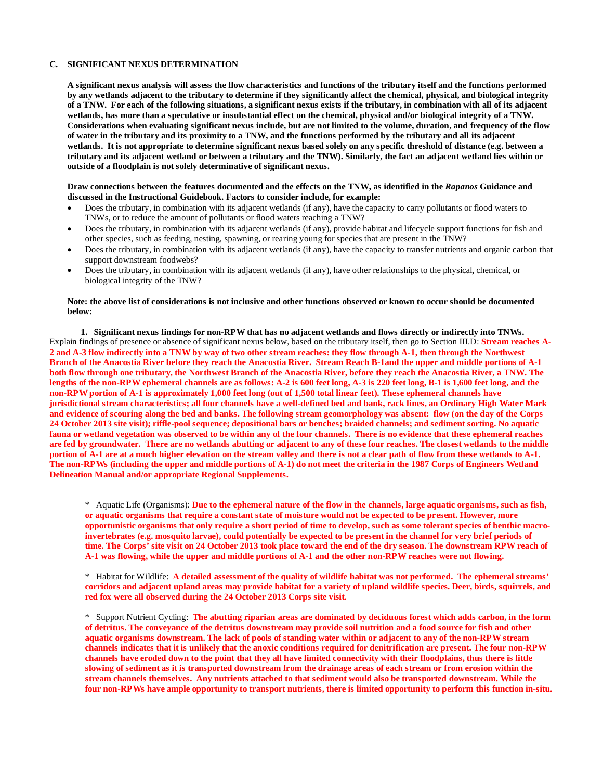### **C. SIGNIFICANT NEXUS DETERMINATION**

**A significant nexus analysis will assess the flow characteristics and functions of the tributary itself and the functions performed by any wetlands adjacent to the tributary to determine if they significantly affect the chemical, physical, and biological integrity of a TNW. For each of the following situations, a significant nexus exists if the tributary, in combination with all of its adjacent wetlands, has more than a speculative or insubstantial effect on the chemical, physical and/or biological integrity of a TNW. Considerations when evaluating significant nexus include, but are not limited to the volume, duration, and frequency of the flow of water in the tributary and its proximity to a TNW, and the functions performed by the tributary and all its adjacent wetlands. It is not appropriate to determine significant nexus based solely on any specific threshold of distance (e.g. between a tributary and its adjacent wetland or between a tributary and the TNW). Similarly, the fact an adjacent wetland lies within or outside of a floodplain is not solely determinative of significant nexus.** 

### **Draw connections between the features documented and the effects on the TNW, as identified in the** *Rapanos* **Guidance and discussed in the Instructional Guidebook. Factors to consider include, for example:**

- Does the tributary, in combination with its adjacent wetlands (if any), have the capacity to carry pollutants or flood waters to TNWs, or to reduce the amount of pollutants or flood waters reaching a TNW?
- Does the tributary, in combination with its adjacent wetlands (if any), provide habitat and lifecycle support functions for fish and other species, such as feeding, nesting, spawning, or rearing young for species that are present in the TNW?
- Does the tributary, in combination with its adjacent wetlands (if any), have the capacity to transfer nutrients and organic carbon that support downstream foodwebs?
- Does the tributary, in combination with its adjacent wetlands (if any), have other relationships to the physical, chemical, or biological integrity of the TNW?

#### **Note: the above list of considerations is not inclusive and other functions observed or known to occur should be documented below:**

**1. Significant nexus findings for non-RPW that has no adjacent wetlands and flows directly or indirectly into TNWs.**  Explain findings of presence or absence of significant nexus below, based on the tributary itself, then go to Section III.D: **Stream reaches A-2 and A-3 flow indirectly into a TNW by way of two other stream reaches: they flow through A-1, then through the Northwest Branch of the Anacostia River before they reach the Anacostia River. Stream Reach B-1and the upper and middle portions of A-1 both flow through one tributary, the Northwest Branch of the Anacostia River, before they reach the Anacostia River, a TNW. The lengths of the non-RPW ephemeral channels are as follows: A-2 is 600 feet long, A-3 is 220 feet long, B-1 is 1,600 feet long, and the non-RPW portion of A-1 is approximately 1,000 feet long (out of 1,500 total linear feet). These ephemeral channels have jurisdictional stream characteristics; all four channels have a well-defined bed and bank, rack lines, an Ordinary High Water Mark and evidence of scouring along the bed and banks. The following stream geomorphology was absent: flow (on the day of the Corps 24 October 2013 site visit); riffle-pool sequence; depositional bars or benches; braided channels; and sediment sorting. No aquatic fauna or wetland vegetation was observed to be within any of the four channels. There is no evidence that these ephemeral reaches are fed by groundwater. There are no wetlands abutting or adjacent to any of these four reaches. The closest wetlands to the middle portion of A-1 are at a much higher elevation on the stream valley and there is not a clear path of flow from these wetlands to A-1. The non-RPWs (including the upper and middle portions of A-1) do not meet the criteria in the 1987 Corps of Engineers Wetland Delineation Manual and/or appropriate Regional Supplements.**

\* Aquatic Life (Organisms): **Due to the ephemeral nature of the flow in the channels, large aquatic organisms, such as fish, or aquatic organisms that require a constant state of moisture would not be expected to be present. However, more opportunistic organisms that only require a short period of time to develop, such as some tolerant species of benthic macroinvertebrates (e.g. mosquito larvae), could potentially be expected to be present in the channel for very brief periods of time. The Corps' site visit on 24 October 2013 took place toward the end of the dry season. The downstream RPW reach of A-1 was flowing, while the upper and middle portions of A-1 and the other non-RPW reaches were not flowing.** 

\* Habitat for Wildlife: **A detailed assessment of the quality of wildlife habitat was not performed. The ephemeral streams' corridors and adjacent upland areas may provide habitat for a variety of upland wildlife species. Deer, birds, squirrels, and red fox were all observed during the 24 October 2013 Corps site visit.** 

\* Support Nutrient Cycling: **The abutting riparian areas are dominated by deciduous forest which adds carbon, in the form of detritus. The conveyance of the detritus downstream may provide soil nutrition and a food source for fish and other aquatic organisms downstream. The lack of pools of standing water within or adjacent to any of the non-RPW stream channels indicates that it is unlikely that the anoxic conditions required for denitrification are present. The four non-RPW channels have eroded down to the point that they all have limited connectivity with their floodplains, thus there is little slowing of sediment as it is transported downstream from the drainage areas of each stream or from erosion within the stream channels themselves. Any nutrients attached to that sediment would also be transported downstream. While the four non-RPWs have ample opportunity to transport nutrients, there is limited opportunity to perform this function in-situ.**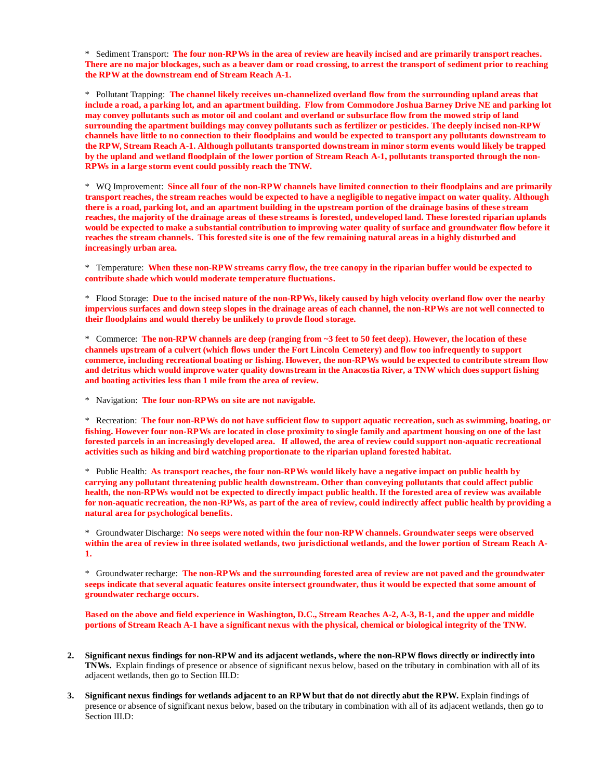\* Sediment Transport: **The four non-RPWs in the area of review are heavily incised and are primarily transport reaches. There are no major blockages, such as a beaver dam or road crossing, to arrest the transport of sediment prior to reaching the RPW at the downstream end of Stream Reach A-1.**

\* Pollutant Trapping: **The channel likely receives un-channelized overland flow from the surrounding upland areas that include a road, a parking lot, and an apartment building. Flow from Commodore Joshua Barney Drive NE and parking lot may convey pollutants such as motor oil and coolant and overland or subsurface flow from the mowed strip of land surrounding the apartment buildings may convey pollutants such as fertilizer or pesticides. The deeply incised non-RPW channels have little to no connection to their floodplains and would be expected to transport any pollutants downstream to the RPW, Stream Reach A-1. Although pollutants transported downstream in minor storm events would likely be trapped by the upland and wetland floodplain of the lower portion of Stream Reach A-1, pollutants transported through the non-RPWs in a large storm event could possibly reach the TNW.** 

\* WQ Improvement: **Since all four of the non-RPW channels have limited connection to their floodplains and are primarily transport reaches, the stream reaches would be expected to have a negligible to negative impact on water quality. Although there is a road, parking lot, and an apartment building in the upstream portion of the drainage basins of these stream reaches, the majority of the drainage areas of these streams is forested, undeveloped land. These forested riparian uplands would be expected to make a substantial contribution to improving water quality of surface and groundwater flow before it reaches the stream channels. This forested site is one of the few remaining natural areas in a highly disturbed and increasingly urban area.** 

\* Temperature: **When these non-RPW streams carry flow, the tree canopy in the riparian buffer would be expected to contribute shade which would moderate temperature fluctuations.**

\* Flood Storage: **Due to the incised nature of the non-RPWs, likely caused by high velocity overland flow over the nearby impervious surfaces and down steep slopes in the drainage areas of each channel, the non-RPWs are not well connected to their floodplains and would thereby be unlikely to provde flood storage.** 

\* Commerce: **The non-RPW channels are deep (ranging from ~3 feet to 50 feet deep). However, the location of these channels upstream of a culvert (which flows under the Fort Lincoln Cemetery) and flow too infrequently to support commerce, including recreational boating or fishing. However, the non-RPWs would be expected to contribute stream flow and detritus which would improve water quality downstream in the Anacostia River, a TNW which does support fishing and boating activities less than 1 mile from the area of review.**

\* Navigation: **The four non-RPWs on site are not navigable.**

\* Recreation: **The four non-RPWs do not have sufficient flow to support aquatic recreation, such as swimming, boating, or fishing. However four non-RPWs are located in close proximity to single family and apartment housing on one of the last forested parcels in an increasingly developed area. If allowed, the area of review could support non-aquatic recreational activities such as hiking and bird watching proportionate to the riparian upland forested habitat.**

\* Public Health: **As transport reaches, the four non-RPWs would likely have a negative impact on public health by carrying any pollutant threatening public health downstream. Other than conveying pollutants that could affect public health, the non-RPWs would not be expected to directly impact public health. If the forested area of review was available for non-aquatic recreation, the non-RPWs, as part of the area of review, could indirectly affect public health by providing a natural area for psychological benefits.**

\* Groundwater Discharge: **No seeps were noted within the four non-RPW channels. Groundwater seeps were observed within the area of review in three isolated wetlands, two jurisdictional wetlands, and the lower portion of Stream Reach A-1.**

\* Groundwater recharge: **The non-RPWs and the surrounding forested area of review are not paved and the groundwater seeps indicate that several aquatic features onsite intersect groundwater, thus it would be expected that some amount of groundwater recharge occurs.**

**Based on the above and field experience in Washington, D.C., Stream Reaches A-2, A-3, B-1, and the upper and middle portions of Stream Reach A-1 have a significant nexus with the physical, chemical or biological integrity of the TNW.**

- **2. Significant nexus findings for non-RPW and its adjacent wetlands, where the non-RPW flows directly or indirectly into TNWs.** Explain findings of presence or absence of significant nexus below, based on the tributary in combination with all of its adjacent wetlands, then go to Section III.D:
- **3. Significant nexus findings for wetlands adjacent to an RPW but that do not directly abut the RPW.** Explain findings of presence or absence of significant nexus below, based on the tributary in combination with all of its adjacent wetlands, then go to Section III.D: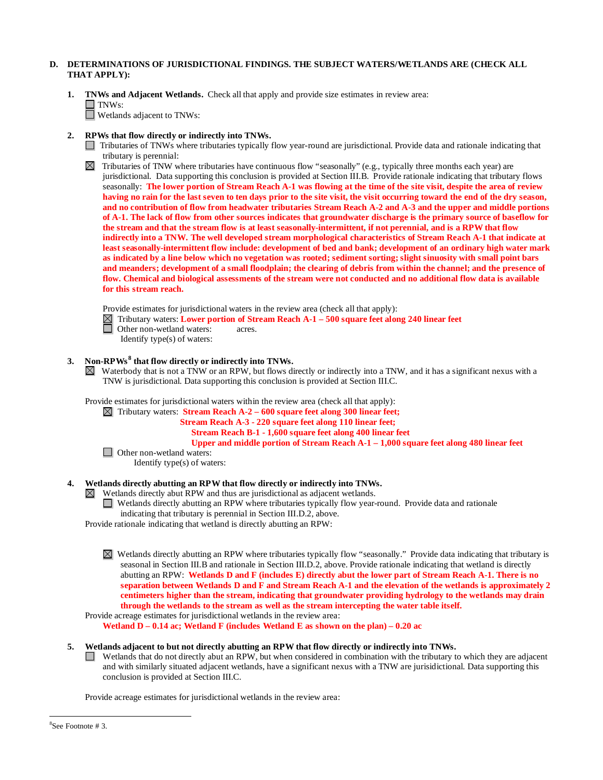# **D. DETERMINATIONS OF JURISDICTIONAL FINDINGS. THE SUBJECT WATERS/WETLANDS ARE (CHECK ALL THAT APPLY):**

- **1. TNWs and Adjacent Wetlands.** Check all that apply and provide size estimates in review area:  $\Box$  TNWs: Wetlands adjacent to TNWs:
- **2. RPWs that flow directly or indirectly into TNWs.**
	- Tributaries of TNWs where tributaries typically flow year-round are jurisdictional. Provide data and rationale indicating that tributary is perennial:

Tributaries of TNW where tributaries have continuous flow "seasonally" (e.g., typically three months each year) are jurisdictional. Data supporting this conclusion is provided at Section III.B. Provide rationale indicating that tributary flows seasonally: **The lower portion of Stream Reach A-1 was flowing at the time of the site visit, despite the area of review having no rain for the last seven to ten days prior to the site visit, the visit occurring toward the end of the dry season, and no contribution of flow from headwater tributaries Stream Reach A-2 and A-3 and the upper and middle portions of A-1. The lack of flow from other sources indicates that groundwater discharge is the primary source of baseflow for the stream and that the stream flow is at least seasonally-intermittent, if not perennial, and is a RPW that flow indirectly into a TNW. The well developed stream morphological characteristics of Stream Reach A-1 that indicate at least seasonally-intermittent flow include: development of bed and bank; development of an ordinary high water mark as indicated by a line below which no vegetation was rooted; sediment sorting; slight sinuosity with small point bars and meanders; development of a small floodplain; the clearing of debris from within the channel; and the presence of flow. Chemical and biological assessments of the stream were not conducted and no additional flow data is available for this stream reach.** 

Provide estimates for jurisdictional waters in the review area (check all that apply):

- Tributary waters: **Lower portion of Stream Reach A-1 – 500 square feet along 240 linear feet**
- Other non-wetland waters: acres.
	- Identify type(s) of waters:

# **3. Non-RPWs [8](#page-7-0) that flow directly or indirectly into TNWs.**

 $\boxtimes$  Waterbody that is not a TNW or an RPW, but flows directly or indirectly into a TNW, and it has a significant nexus with a TNW is jurisdictional. Data supporting this conclusion is provided at Section III.C.

Provide estimates for jurisdictional waters within the review area (check all that apply):

Tributary waters: **Stream Reach A-2 – 600 square feet along 300 linear feet;** 

 **Stream Reach A-3 - 220 square feet along 110 linear feet;** 

**Stream Reach B-1 - 1,600 square feet along 400 linear feet**

**Upper and middle portion of Stream Reach A-1 – 1,000 square feet along 480 linear feet**

□ Other non-wetland waters: Identify type(s) of waters:

### **4. Wetlands directly abutting an RPW that flow directly or indirectly into TNWs.**

Wetlands directly abut RPW and thus are jurisdictional as adjacent wetlands.

Wetlands directly abutting an RPW where tributaries typically flow year-round. Provide data and rationale indicating that tributary is perennial in Section III.D.2, above.

Provide rationale indicating that wetland is directly abutting an RPW:

Wetlands directly abutting an RPW where tributaries typically flow "seasonally." Provide data indicating that tributary is seasonal in Section III.B and rationale in Section III.D.2, above. Provide rationale indicating that wetland is directly abutting an RPW: **Wetlands D and F (includes E) directly abut the lower part of Stream Reach A-1. There is no separation between Wetlands D and F and Stream Reach A-1 and the elevation of the wetlands is approximately 2 centimeters higher than the stream, indicating that groundwater providing hydrology to the wetlands may drain through the wetlands to the stream as well as the stream intercepting the water table itself.** 

Provide acreage estimates for jurisdictional wetlands in the review area:

**Wetland D – 0.14 ac; Wetland F (includes Wetland E as shown on the plan) – 0.20 ac**

### **5. Wetlands adjacent to but not directly abutting an RPW that flow directly or indirectly into TNWs.**

 $\Box$  Wetlands that do not directly abut an RPW, but when considered in combination with the tributary to which they are adjacent and with similarly situated adjacent wetlands, have a significant nexus with a TNW are jurisidictional. Data supporting this conclusion is provided at Section III.C.

Provide acreage estimates for jurisdictional wetlands in the review area:

<span id="page-7-0"></span> <sup>8</sup> See Footnote # 3.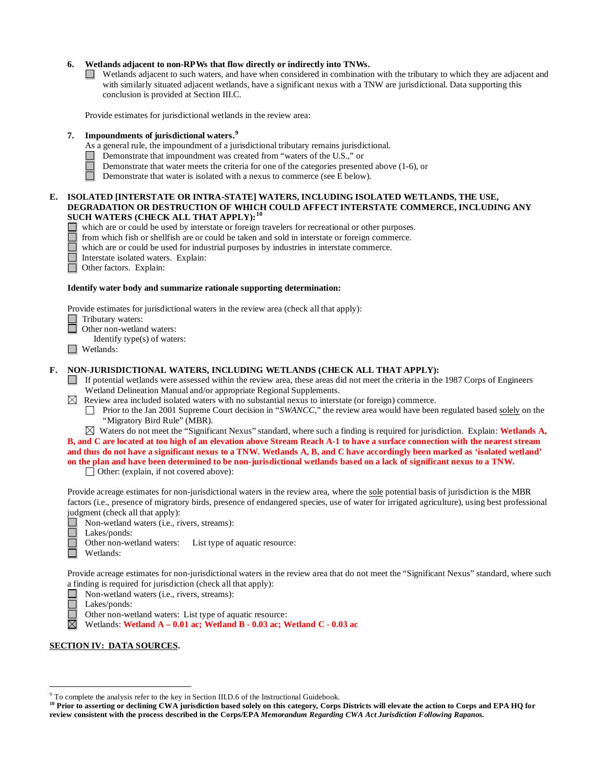## **6. Wetlands adjacent to non-RPWs that flow directly or indirectly into TNWs.**

 $\Box$  Wetlands adjacent to such waters, and have when considered in combination with the tributary to which they are adjacent and with similarly situated adjacent wetlands, have a significant nexus with a TNW are jurisdictional. Data supporting this conclusion is provided at Section III.C.

Provide estimates for jurisdictional wetlands in the review area:

# **7. Impoundments of jurisdictional waters.[9](#page-8-0)**

- As a general rule, the impoundment of a jurisdictional tributary remains jurisdictional.
- Demonstrate that impoundment was created from "waters of the U.S.," or
- Demonstrate that water meets the criteria for one of the categories presented above (1-6), or
- Ħ Demonstrate that water is isolated with a nexus to commerce (see E below).

### **E. ISOLATED [INTERSTATE OR INTRA-STATE] WATERS, INCLUDING ISOLATED WETLANDS, THE USE, DEGRADATION OR DESTRUCTION OF WHICH COULD AFFECT INTERSTATE COMMERCE, INCLUDING ANY SUCH WATERS (CHECK ALL THAT APPLY):[10](#page-8-1)**

- which are or could be used by interstate or foreign travelers for recreational or other purposes.<br>  $\Box$  from which fish or shellfish are or could be taken and sold in interstate or foreign commerce.
	-
- **From which fish or shellfish are or could be taken and sold in interstate or foreign commerce.**<br>
which are or could be used for industrial purposes by industries in interstate commerce.<br>
Interstate isolated waters. Explai which are or could be used for industrial purposes by industries in interstate commerce.
	- Interstate isolated waters.Explain:
	- Other factors.Explain:

### **Identify water body and summarize rationale supporting determination:**

Provide estimates for jurisdictional waters in the review area (check all that apply):

Tributary waters:

- **Other non-wetland waters:**
- Identify type(s) of waters:
- Wetlands:

# **F. NON-JURISDICTIONAL WATERS, INCLUDING WETLANDS (CHECK ALL THAT APPLY):**

- If potential wetlands were assessed within the review area, these areas did not meet the criteria in the 1987 Corps of Engineers Wetland Delineation Manual and/or appropriate Regional Supplements.
- $\boxtimes$  Review area included isolated waters with no substantial nexus to interstate (or foreign) commerce.
	- **Prior to the Jan 2001 Supreme Court decision in "***SWANCC*," the review area would have been regulated based solely on the "Migratory Bird Rule" (MBR).

 $\boxtimes$  Waters do not meet the "Significant Nexus" standard, where such a finding is required for jurisdiction. Explain: **Wetlands A, B, and C are located at too high of an elevation above Stream Reach A-1 to have a surface connection with the nearest stream and thus do not have a significant nexus to a TNW. Wetlands A, B, and C have accordingly been marked as 'isolated wetland' on the plan and have been determined to be non-jurisdictional wetlands based on a lack of significant nexus to a TNW.**

□ Other: (explain, if not covered above):

Provide acreage estimates for non-jurisdictional waters in the review area, where the sole potential basis of jurisdiction is the MBR factors (i.e., presence of migratory birds, presence of endangered species, use of water for irrigated agriculture), using best professional judgment (check all that apply):

- Non-wetland waters (i.e., rivers, streams):
- $\mathcal{L}_{\mathcal{A}}$ Lakes/ponds:
	- Other non-wetland waters: List type of aquatic resource:
- Wetlands:

Provide acreage estimates for non-jurisdictional waters in the review area that do not meet the "Significant Nexus" standard, where such a finding is required for jurisdiction (check all that apply):

П Non-wetland waters (i.e., rivers, streams):

Lakes/ponds:

Other non-wetland waters: List type of aquatic resource:

 $\boxtimes$ Wetlands: **Wetland A – 0.01 ac; Wetland B - 0.03 ac; Wetland C** - **0.03 ac**

### **SECTION IV: DATA SOURCES.**

<span id="page-8-0"></span> <sup>9</sup> To complete the analysis refer to the key in Section III.D.6 of the Instructional Guidebook.

<span id="page-8-1"></span><sup>&</sup>lt;sup>10</sup> Prior to asserting or declining CWA jurisdiction based solely on this category, Corps Districts will elevate the action to Corps and EPA HQ for **review consistent with the process described in the Corps/EPA** *Memorandum Regarding CWA Act Jurisdiction Following Rapanos.*